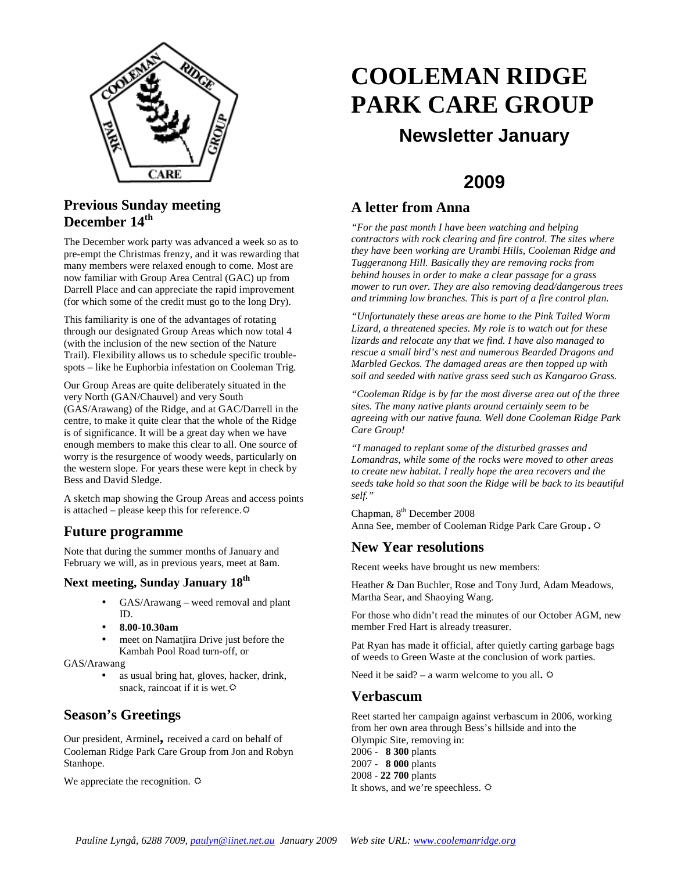

#### **Previous Sunday meeting December 14th**

The December work party was advanced a week so as to pre-empt the Christmas frenzy, and it was rewarding that many members were relaxed enough to come. Most are now familiar with Group Area Central (GAC) up from Darrell Place and can appreciate the rapid improvement (for which some of the credit must go to the long Dry).

This familiarity is one of the advantages of rotating through our designated Group Areas which now total 4 (with the inclusion of the new section of the Nature Trail). Flexibility allows us to schedule specific troublespots – like he Euphorbia infestation on Cooleman Trig.

Our Group Areas are quite deliberately situated in the very North (GAN/Chauvel) and very South (GAS/Arawang) of the Ridge, and at GAC/Darrell in the centre, to make it quite clear that the whole of the Ridge is of significance. It will be a great day when we have enough members to make this clear to all. One source of worry is the resurgence of woody weeds, particularly on the western slope. For years these were kept in check by Bess and David Sledge.

A sketch map showing the Group Areas and access points is attached – please keep this for reference.  $\ddot{\varphi}$ 

#### **Future programme**

Note that during the summer months of January and February we will, as in previous years, meet at 8am.

#### **Next meeting, Sunday January 18th**

- GAS/Arawang weed removal and plant ID.
- **8.00-10.30am**
- meet on Namatjira Drive just before the Kambah Pool Road turn-off, or
- GAS/Arawang
	- as usual bring hat, gloves, hacker, drink, snack, raincoat if it is wet. $\ddot{\varphi}$

#### **Season's Greetings**

Our president, Arminel**,** received a card on behalf of Cooleman Ridge Park Care Group from Jon and Robyn Stanhope.

We appreciate the recognition.  $\ddot{\varphi}$ 

# **COOLEMAN RIDGE PARK CARE GROUP Newsletter January**

## **2009**

#### **A letter from Anna**

*"For the past month I have been watching and helping contractors with rock clearing and fire control. The sites where they have been working are Urambi Hills, Cooleman Ridge and Tuggeranong Hill. Basically they are removing rocks from behind houses in order to make a clear passage for a grass mower to run over. They are also removing dead/dangerous trees and trimming low branches. This is part of a fire control plan.* 

*"Unfortunately these areas are home to the Pink Tailed Worm Lizard, a threatened species. My role is to watch out for these lizards and relocate any that we find. I have also managed to rescue a small bird's nest and numerous Bearded Dragons and Marbled Geckos. The damaged areas are then topped up with soil and seeded with native grass seed such as Kangaroo Grass.* 

*"Cooleman Ridge is by far the most diverse area out of the three sites. The many native plants around certainly seem to be agreeing with our native fauna. Well done Cooleman Ridge Park Care Group!* 

*"I managed to replant some of the disturbed grasses and Lomandras, while some of the rocks were moved to other areas to create new habitat. I really hope the area recovers and the seeds take hold so that soon the Ridge will be back to its beautiful self."* 

Chapman, 8<sup>th</sup> December 2008 Anna See, member of Cooleman Ridge Park Care Group**.**

#### **New Year resolutions**

Recent weeks have brought us new members:

Heather & Dan Buchler, Rose and Tony Jurd, Adam Meadows, Martha Sear, and Shaoying Wang.

For those who didn't read the minutes of our October AGM, new member Fred Hart is already treasurer.

Pat Ryan has made it official, after quietly carting garbage bags of weeds to Green Waste at the conclusion of work parties.

Need it be said? – a warm welcome to you all.  $\circ$ 

#### **Verbascum**

Reet started her campaign against verbascum in 2006, working from her own area through Bess's hillside and into the Olympic Site, removing in: 2006 - **8 300** plants 2007 - **8 000** plants 2008 - **22 700** plants It shows, and we're speechless.